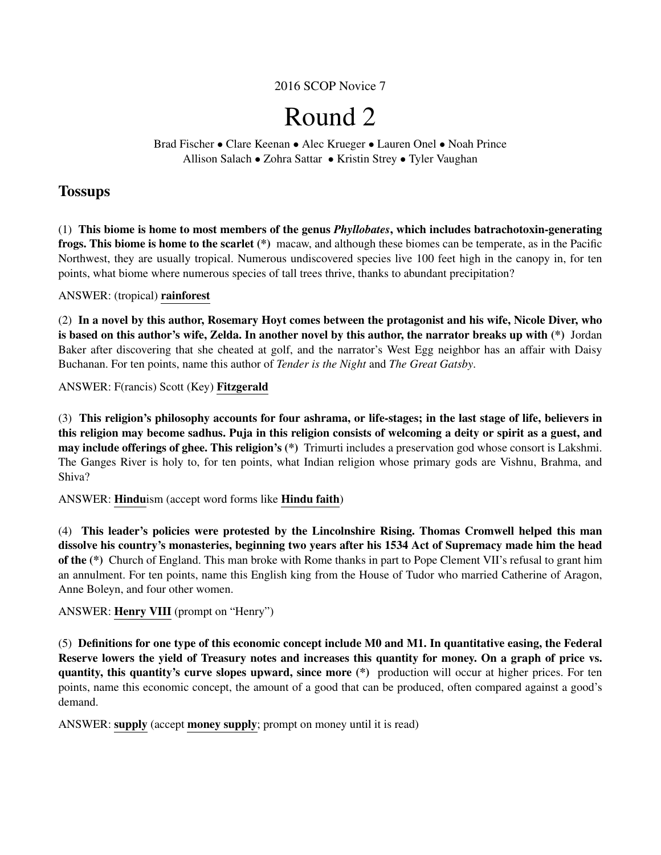2016 SCOP Novice 7

# Round 2

Brad Fischer • Clare Keenan • Alec Krueger • Lauren Onel • Noah Prince Allison Salach • Zohra Sattar • Kristin Strey • Tyler Vaughan

# **Tossups**

(1) This biome is home to most members of the genus *Phyllobates*, which includes batrachotoxin-generating frogs. This biome is home to the scarlet (\*) macaw, and although these biomes can be temperate, as in the Pacific Northwest, they are usually tropical. Numerous undiscovered species live 100 feet high in the canopy in, for ten points, what biome where numerous species of tall trees thrive, thanks to abundant precipitation?

# ANSWER: (tropical) rainforest

(2) In a novel by this author, Rosemary Hoyt comes between the protagonist and his wife, Nicole Diver, who is based on this author's wife, Zelda. In another novel by this author, the narrator breaks up with (\*) Jordan Baker after discovering that she cheated at golf, and the narrator's West Egg neighbor has an affair with Daisy Buchanan. For ten points, name this author of *Tender is the Night* and *The Great Gatsby*.

ANSWER: F(rancis) Scott (Key) Fitzgerald

(3) This religion's philosophy accounts for four ashrama, or life-stages; in the last stage of life, believers in this religion may become sadhus. Puja in this religion consists of welcoming a deity or spirit as a guest, and may include offerings of ghee. This religion's (\*) Trimurti includes a preservation god whose consort is Lakshmi. The Ganges River is holy to, for ten points, what Indian religion whose primary gods are Vishnu, Brahma, and Shiva?

ANSWER: Hinduism (accept word forms like Hindu faith)

(4) This leader's policies were protested by the Lincolnshire Rising. Thomas Cromwell helped this man dissolve his country's monasteries, beginning two years after his 1534 Act of Supremacy made him the head of the (\*) Church of England. This man broke with Rome thanks in part to Pope Clement VII's refusal to grant him an annulment. For ten points, name this English king from the House of Tudor who married Catherine of Aragon, Anne Boleyn, and four other women.

# ANSWER: Henry VIII (prompt on "Henry")

(5) Definitions for one type of this economic concept include M0 and M1. In quantitative easing, the Federal Reserve lowers the yield of Treasury notes and increases this quantity for money. On a graph of price vs. quantity, this quantity's curve slopes upward, since more (\*) production will occur at higher prices. For ten points, name this economic concept, the amount of a good that can be produced, often compared against a good's demand.

ANSWER: supply (accept money supply; prompt on money until it is read)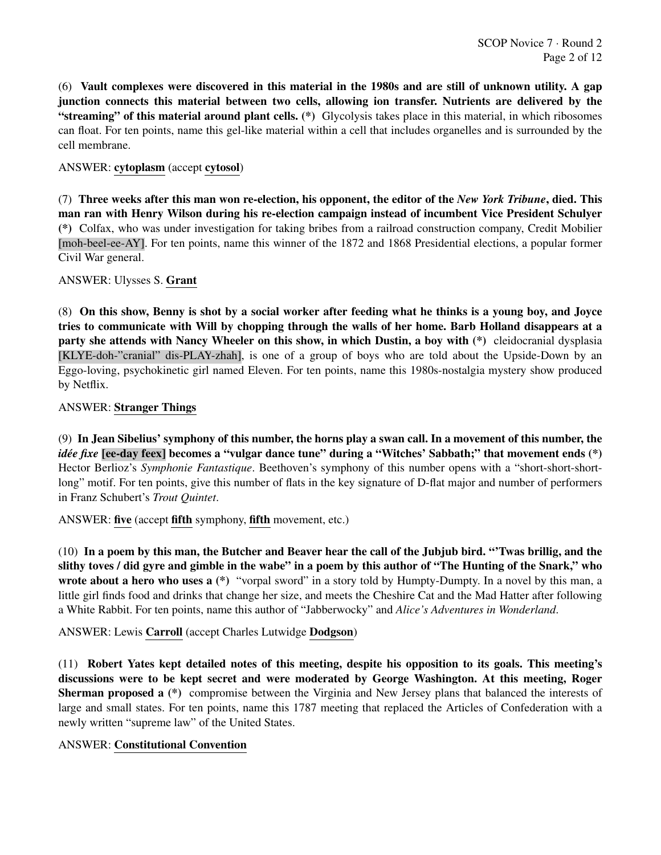(6) Vault complexes were discovered in this material in the 1980s and are still of unknown utility. A gap junction connects this material between two cells, allowing ion transfer. Nutrients are delivered by the "streaming" of this material around plant cells. (\*) Glycolysis takes place in this material, in which ribosomes can float. For ten points, name this gel-like material within a cell that includes organelles and is surrounded by the cell membrane.

# ANSWER: cytoplasm (accept cytosol)

(7) Three weeks after this man won re-election, his opponent, the editor of the *New York Tribune*, died. This man ran with Henry Wilson during his re-election campaign instead of incumbent Vice President Schulyer (\*) Colfax, who was under investigation for taking bribes from a railroad construction company, Credit Mobilier [moh-beel-ee-AY]. For ten points, name this winner of the 1872 and 1868 Presidential elections, a popular former Civil War general.

#### ANSWER: Ulysses S. Grant

(8) On this show, Benny is shot by a social worker after feeding what he thinks is a young boy, and Joyce tries to communicate with Will by chopping through the walls of her home. Barb Holland disappears at a party she attends with Nancy Wheeler on this show, in which Dustin, a boy with (\*) cleidocranial dysplasia [KLYE-doh-"cranial" dis-PLAY-zhah], is one of a group of boys who are told about the Upside-Down by an Eggo-loving, psychokinetic girl named Eleven. For ten points, name this 1980s-nostalgia mystery show produced by Netflix.

# ANSWER: Stranger Things

(9) In Jean Sibelius' symphony of this number, the horns play a swan call. In a movement of this number, the *idée fixe* [ee-day feex] becomes a "vulgar dance tune" during a "Witches' Sabbath;" that movement ends (\*) Hector Berlioz's *Symphonie Fantastique*. Beethoven's symphony of this number opens with a "short-short-shortlong" motif. For ten points, give this number of flats in the key signature of D-flat major and number of performers in Franz Schubert's *Trout Quintet*.

#### ANSWER: five (accept fifth symphony, fifth movement, etc.)

(10) In a poem by this man, the Butcher and Beaver hear the call of the Jubjub bird. "'Twas brillig, and the slithy toves / did gyre and gimble in the wabe" in a poem by this author of "The Hunting of the Snark," who wrote about a hero who uses a (\*) "vorpal sword" in a story told by Humpty-Dumpty. In a novel by this man, a little girl finds food and drinks that change her size, and meets the Cheshire Cat and the Mad Hatter after following a White Rabbit. For ten points, name this author of "Jabberwocky" and *Alice's Adventures in Wonderland*.

# ANSWER: Lewis Carroll (accept Charles Lutwidge Dodgson)

(11) Robert Yates kept detailed notes of this meeting, despite his opposition to its goals. This meeting's discussions were to be kept secret and were moderated by George Washington. At this meeting, Roger Sherman proposed a (\*) compromise between the Virginia and New Jersey plans that balanced the interests of large and small states. For ten points, name this 1787 meeting that replaced the Articles of Confederation with a newly written "supreme law" of the United States.

#### ANSWER: Constitutional Convention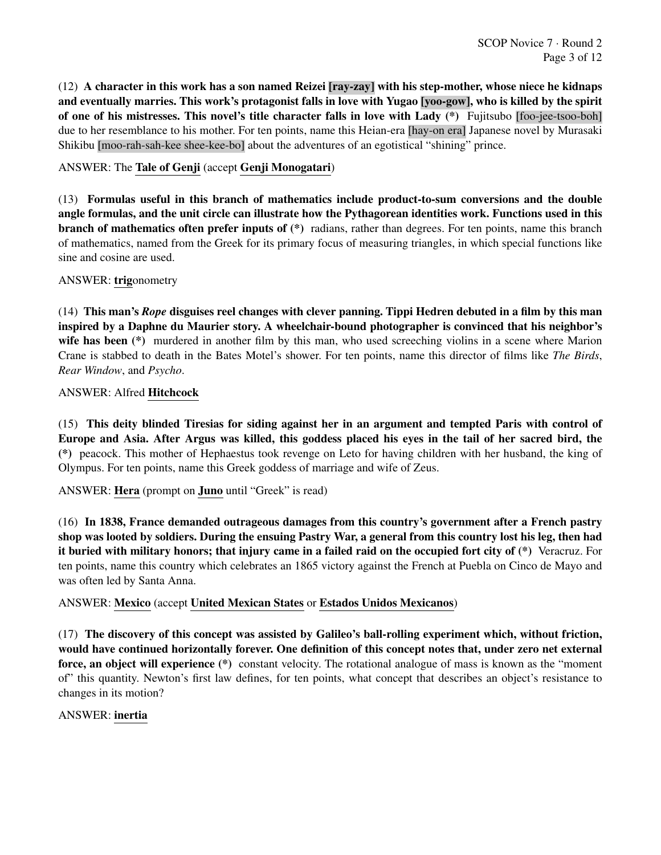(12) A character in this work has a son named Reizei [ray-zay] with his step-mother, whose niece he kidnaps and eventually marries. This work's protagonist falls in love with Yugao [yoo-gow], who is killed by the spirit of one of his mistresses. This novel's title character falls in love with Lady (\*) Fujitsubo [foo-jee-tsoo-boh] due to her resemblance to his mother. For ten points, name this Heian-era [hay-on era] Japanese novel by Murasaki Shikibu [moo-rah-sah-kee shee-kee-bo] about the adventures of an egotistical "shining" prince.

ANSWER: The Tale of Genji (accept Genji Monogatari)

(13) Formulas useful in this branch of mathematics include product-to-sum conversions and the double angle formulas, and the unit circle can illustrate how the Pythagorean identities work. Functions used in this branch of mathematics often prefer inputs of (\*) radians, rather than degrees. For ten points, name this branch of mathematics, named from the Greek for its primary focus of measuring triangles, in which special functions like sine and cosine are used.

ANSWER: trigonometry

(14) This man's *Rope* disguises reel changes with clever panning. Tippi Hedren debuted in a film by this man inspired by a Daphne du Maurier story. A wheelchair-bound photographer is convinced that his neighbor's wife has been (\*) murdered in another film by this man, who used screeching violins in a scene where Marion Crane is stabbed to death in the Bates Motel's shower. For ten points, name this director of films like *The Birds*, *Rear Window*, and *Psycho*.

ANSWER: Alfred Hitchcock

(15) This deity blinded Tiresias for siding against her in an argument and tempted Paris with control of Europe and Asia. After Argus was killed, this goddess placed his eyes in the tail of her sacred bird, the (\*) peacock. This mother of Hephaestus took revenge on Leto for having children with her husband, the king of Olympus. For ten points, name this Greek goddess of marriage and wife of Zeus.

ANSWER: Hera (prompt on Juno until "Greek" is read)

(16) In 1838, France demanded outrageous damages from this country's government after a French pastry shop was looted by soldiers. During the ensuing Pastry War, a general from this country lost his leg, then had it buried with military honors; that injury came in a failed raid on the occupied fort city of (\*) Veracruz. For ten points, name this country which celebrates an 1865 victory against the French at Puebla on Cinco de Mayo and was often led by Santa Anna.

ANSWER: Mexico (accept United Mexican States or Estados Unidos Mexicanos)

(17) The discovery of this concept was assisted by Galileo's ball-rolling experiment which, without friction, would have continued horizontally forever. One definition of this concept notes that, under zero net external force, an object will experience (\*) constant velocity. The rotational analogue of mass is known as the "moment of" this quantity. Newton's first law defines, for ten points, what concept that describes an object's resistance to changes in its motion?

#### ANSWER: inertia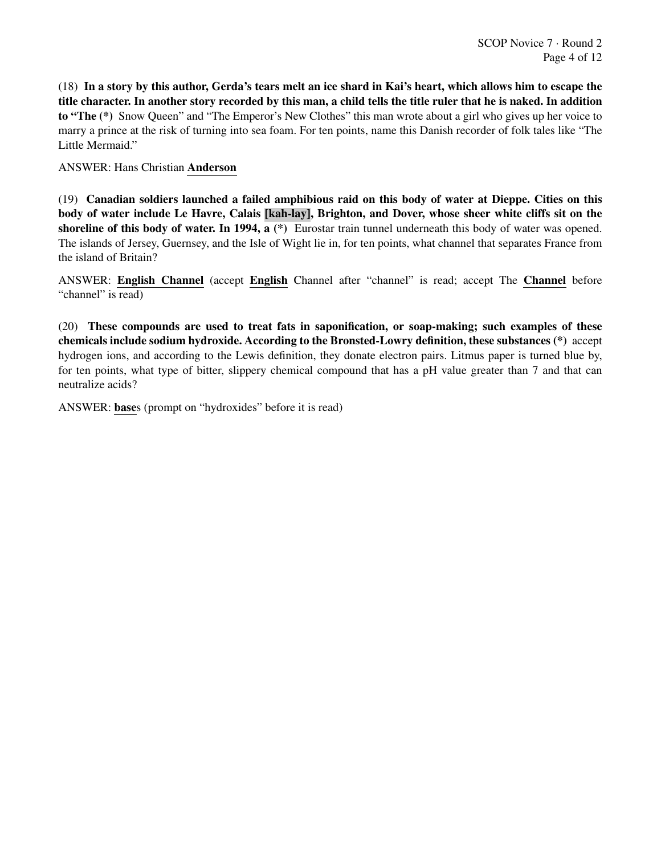(18) In a story by this author, Gerda's tears melt an ice shard in Kai's heart, which allows him to escape the title character. In another story recorded by this man, a child tells the title ruler that he is naked. In addition to "The (\*) Snow Queen" and "The Emperor's New Clothes" this man wrote about a girl who gives up her voice to marry a prince at the risk of turning into sea foam. For ten points, name this Danish recorder of folk tales like "The Little Mermaid."

ANSWER: Hans Christian Anderson

(19) Canadian soldiers launched a failed amphibious raid on this body of water at Dieppe. Cities on this body of water include Le Havre, Calais [kah-lay], Brighton, and Dover, whose sheer white cliffs sit on the shoreline of this body of water. In 1994, a  $(*)$  Eurostar train tunnel underneath this body of water was opened. The islands of Jersey, Guernsey, and the Isle of Wight lie in, for ten points, what channel that separates France from the island of Britain?

ANSWER: English Channel (accept English Channel after "channel" is read; accept The Channel before "channel" is read)

(20) These compounds are used to treat fats in saponification, or soap-making; such examples of these chemicals include sodium hydroxide. According to the Bronsted-Lowry definition, these substances (\*) accept hydrogen ions, and according to the Lewis definition, they donate electron pairs. Litmus paper is turned blue by, for ten points, what type of bitter, slippery chemical compound that has a pH value greater than 7 and that can neutralize acids?

ANSWER: bases (prompt on "hydroxides" before it is read)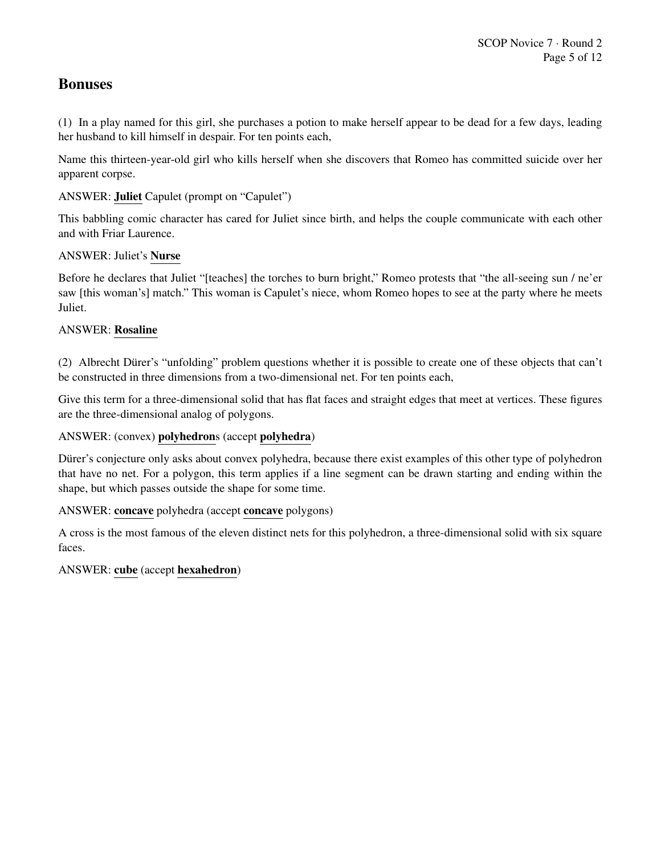# Bonuses

(1) In a play named for this girl, she purchases a potion to make herself appear to be dead for a few days, leading her husband to kill himself in despair. For ten points each,

Name this thirteen-year-old girl who kills herself when she discovers that Romeo has committed suicide over her apparent corpse.

ANSWER: Juliet Capulet (prompt on "Capulet")

This babbling comic character has cared for Juliet since birth, and helps the couple communicate with each other and with Friar Laurence.

ANSWER: Juliet's Nurse

Before he declares that Juliet "[teaches] the torches to burn bright," Romeo protests that "the all-seeing sun / ne'er saw [this woman's] match." This woman is Capulet's niece, whom Romeo hopes to see at the party where he meets Juliet.

# ANSWER: Rosaline

(2) Albrecht Dürer's "unfolding" problem questions whether it is possible to create one of these objects that can't be constructed in three dimensions from a two-dimensional net. For ten points each,

Give this term for a three-dimensional solid that has flat faces and straight edges that meet at vertices. These figures are the three-dimensional analog of polygons.

#### ANSWER: (convex) polyhedrons (accept polyhedra)

Dürer's conjecture only asks about convex polyhedra, because there exist examples of this other type of polyhedron that have no net. For a polygon, this term applies if a line segment can be drawn starting and ending within the shape, but which passes outside the shape for some time.

#### ANSWER: concave polyhedra (accept concave polygons)

A cross is the most famous of the eleven distinct nets for this polyhedron, a three-dimensional solid with six square faces.

#### ANSWER: cube (accept hexahedron)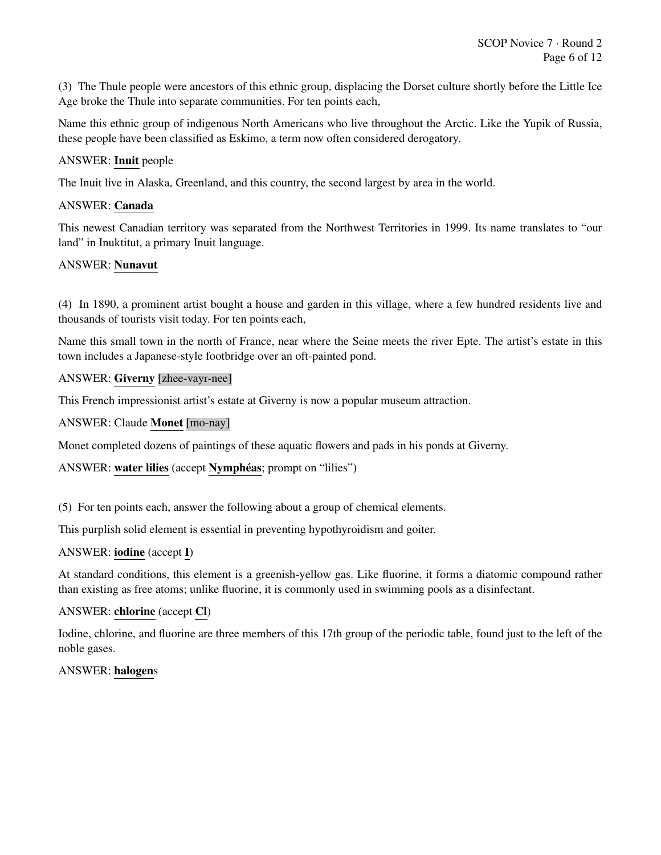(3) The Thule people were ancestors of this ethnic group, displacing the Dorset culture shortly before the Little Ice Age broke the Thule into separate communities. For ten points each,

Name this ethnic group of indigenous North Americans who live throughout the Arctic. Like the Yupik of Russia, these people have been classified as Eskimo, a term now often considered derogatory.

#### ANSWER: Inuit people

The Inuit live in Alaska, Greenland, and this country, the second largest by area in the world.

# ANSWER: Canada

This newest Canadian territory was separated from the Northwest Territories in 1999. Its name translates to "our land" in Inuktitut, a primary Inuit language.

# ANSWER: Nunavut

(4) In 1890, a prominent artist bought a house and garden in this village, where a few hundred residents live and thousands of tourists visit today. For ten points each,

Name this small town in the north of France, near where the Seine meets the river Epte. The artist's estate in this town includes a Japanese-style footbridge over an oft-painted pond.

#### ANSWER: Giverny [zhee-vayr-nee]

This French impressionist artist's estate at Giverny is now a popular museum attraction.

# ANSWER: Claude Monet [mo-nay]

Monet completed dozens of paintings of these aquatic flowers and pads in his ponds at Giverny.

#### ANSWER: water lilies (accept Nymphéas; prompt on "lilies")

(5) For ten points each, answer the following about a group of chemical elements.

This purplish solid element is essential in preventing hypothyroidism and goiter.

#### ANSWER: iodine (accept I)

At standard conditions, this element is a greenish-yellow gas. Like fluorine, it forms a diatomic compound rather than existing as free atoms; unlike fluorine, it is commonly used in swimming pools as a disinfectant.

#### ANSWER: chlorine (accept Cl)

Iodine, chlorine, and fluorine are three members of this 17th group of the periodic table, found just to the left of the noble gases.

# ANSWER: halogens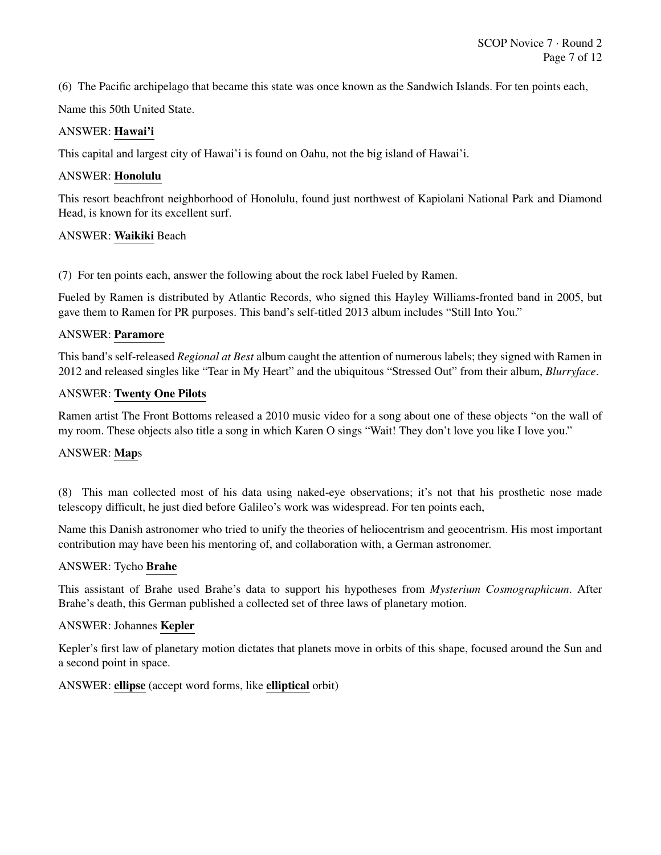(6) The Pacific archipelago that became this state was once known as the Sandwich Islands. For ten points each,

Name this 50th United State.

#### ANSWER: Hawai'i

This capital and largest city of Hawai'i is found on Oahu, not the big island of Hawai'i.

#### ANSWER: Honolulu

This resort beachfront neighborhood of Honolulu, found just northwest of Kapiolani National Park and Diamond Head, is known for its excellent surf.

#### ANSWER: Waikiki Beach

(7) For ten points each, answer the following about the rock label Fueled by Ramen.

Fueled by Ramen is distributed by Atlantic Records, who signed this Hayley Williams-fronted band in 2005, but gave them to Ramen for PR purposes. This band's self-titled 2013 album includes "Still Into You."

#### ANSWER: Paramore

This band's self-released *Regional at Best* album caught the attention of numerous labels; they signed with Ramen in 2012 and released singles like "Tear in My Heart" and the ubiquitous "Stressed Out" from their album, *Blurryface*.

#### ANSWER: Twenty One Pilots

Ramen artist The Front Bottoms released a 2010 music video for a song about one of these objects "on the wall of my room. These objects also title a song in which Karen O sings "Wait! They don't love you like I love you."

#### ANSWER: Maps

(8) This man collected most of his data using naked-eye observations; it's not that his prosthetic nose made telescopy difficult, he just died before Galileo's work was widespread. For ten points each,

Name this Danish astronomer who tried to unify the theories of heliocentrism and geocentrism. His most important contribution may have been his mentoring of, and collaboration with, a German astronomer.

#### ANSWER: Tycho Brahe

This assistant of Brahe used Brahe's data to support his hypotheses from *Mysterium Cosmographicum*. After Brahe's death, this German published a collected set of three laws of planetary motion.

#### ANSWER: Johannes Kepler

Kepler's first law of planetary motion dictates that planets move in orbits of this shape, focused around the Sun and a second point in space.

#### ANSWER: ellipse (accept word forms, like elliptical orbit)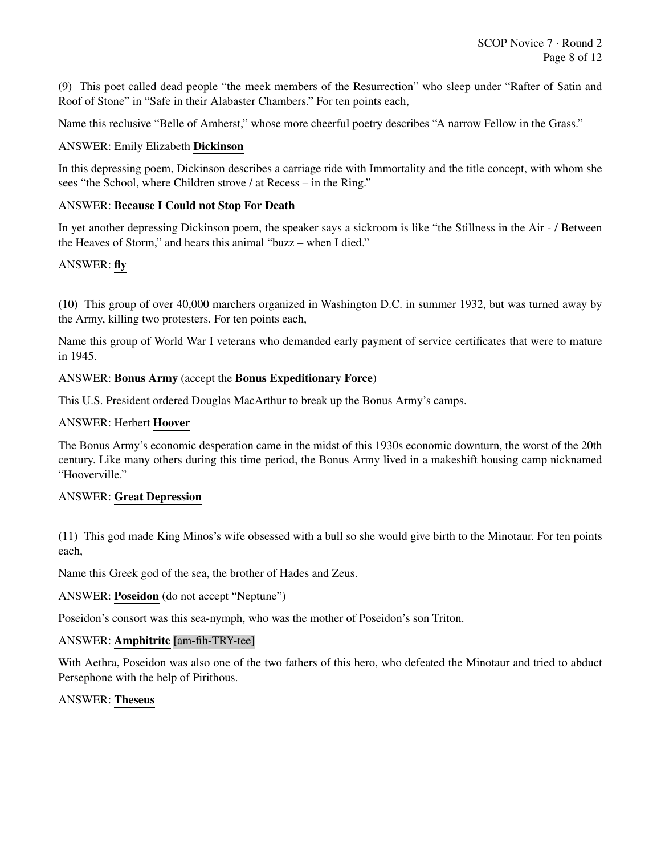(9) This poet called dead people "the meek members of the Resurrection" who sleep under "Rafter of Satin and Roof of Stone" in "Safe in their Alabaster Chambers." For ten points each,

Name this reclusive "Belle of Amherst," whose more cheerful poetry describes "A narrow Fellow in the Grass."

#### ANSWER: Emily Elizabeth Dickinson

In this depressing poem, Dickinson describes a carriage ride with Immortality and the title concept, with whom she sees "the School, where Children strove / at Recess – in the Ring."

#### ANSWER: Because I Could not Stop For Death

In yet another depressing Dickinson poem, the speaker says a sickroom is like "the Stillness in the Air - / Between the Heaves of Storm," and hears this animal "buzz – when I died."

#### ANSWER: fly

(10) This group of over 40,000 marchers organized in Washington D.C. in summer 1932, but was turned away by the Army, killing two protesters. For ten points each,

Name this group of World War I veterans who demanded early payment of service certificates that were to mature in 1945.

#### ANSWER: Bonus Army (accept the Bonus Expeditionary Force)

This U.S. President ordered Douglas MacArthur to break up the Bonus Army's camps.

#### ANSWER: Herbert Hoover

The Bonus Army's economic desperation came in the midst of this 1930s economic downturn, the worst of the 20th century. Like many others during this time period, the Bonus Army lived in a makeshift housing camp nicknamed "Hooverville."

#### ANSWER: Great Depression

(11) This god made King Minos's wife obsessed with a bull so she would give birth to the Minotaur. For ten points each,

Name this Greek god of the sea, the brother of Hades and Zeus.

ANSWER: Poseidon (do not accept "Neptune")

Poseidon's consort was this sea-nymph, who was the mother of Poseidon's son Triton.

#### ANSWER: Amphitrite [am-fih-TRY-tee]

With Aethra, Poseidon was also one of the two fathers of this hero, who defeated the Minotaur and tried to abduct Persephone with the help of Pirithous.

#### ANSWER: Theseus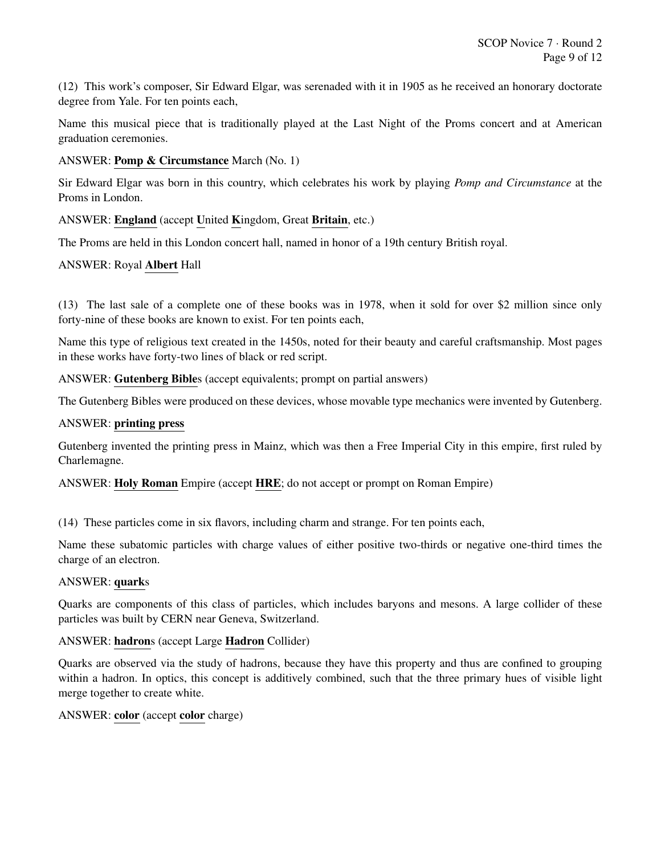(12) This work's composer, Sir Edward Elgar, was serenaded with it in 1905 as he received an honorary doctorate degree from Yale. For ten points each,

Name this musical piece that is traditionally played at the Last Night of the Proms concert and at American graduation ceremonies.

#### ANSWER: Pomp & Circumstance March (No. 1)

Sir Edward Elgar was born in this country, which celebrates his work by playing *Pomp and Circumstance* at the Proms in London.

# ANSWER: England (accept United Kingdom, Great Britain, etc.)

The Proms are held in this London concert hall, named in honor of a 19th century British royal.

#### ANSWER: Royal Albert Hall

(13) The last sale of a complete one of these books was in 1978, when it sold for over \$2 million since only forty-nine of these books are known to exist. For ten points each,

Name this type of religious text created in the 1450s, noted for their beauty and careful craftsmanship. Most pages in these works have forty-two lines of black or red script.

ANSWER: Gutenberg Bibles (accept equivalents; prompt on partial answers)

The Gutenberg Bibles were produced on these devices, whose movable type mechanics were invented by Gutenberg.

#### ANSWER: printing press

Gutenberg invented the printing press in Mainz, which was then a Free Imperial City in this empire, first ruled by Charlemagne.

ANSWER: Holy Roman Empire (accept HRE; do not accept or prompt on Roman Empire)

(14) These particles come in six flavors, including charm and strange. For ten points each,

Name these subatomic particles with charge values of either positive two-thirds or negative one-third times the charge of an electron.

#### ANSWER: quarks

Quarks are components of this class of particles, which includes baryons and mesons. A large collider of these particles was built by CERN near Geneva, Switzerland.

#### ANSWER: hadrons (accept Large Hadron Collider)

Quarks are observed via the study of hadrons, because they have this property and thus are confined to grouping within a hadron. In optics, this concept is additively combined, such that the three primary hues of visible light merge together to create white.

#### ANSWER: color (accept color charge)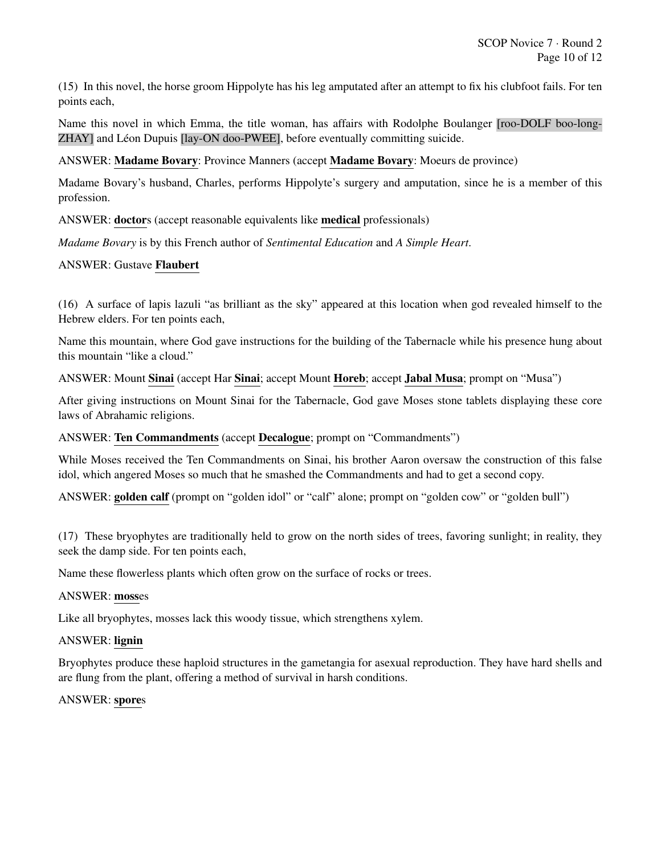(15) In this novel, the horse groom Hippolyte has his leg amputated after an attempt to fix his clubfoot fails. For ten points each,

Name this novel in which Emma, the title woman, has affairs with Rodolphe Boulanger [roo-DOLF boo-long-ZHAY] and Léon Dupuis [lay-ON doo-PWEE], before eventually committing suicide.

ANSWER: Madame Bovary: Province Manners (accept Madame Bovary: Moeurs de province)

Madame Bovary's husband, Charles, performs Hippolyte's surgery and amputation, since he is a member of this profession.

ANSWER: doctors (accept reasonable equivalents like medical professionals)

*Madame Bovary* is by this French author of *Sentimental Education* and *A Simple Heart*.

#### ANSWER: Gustave Flaubert

(16) A surface of lapis lazuli "as brilliant as the sky" appeared at this location when god revealed himself to the Hebrew elders. For ten points each,

Name this mountain, where God gave instructions for the building of the Tabernacle while his presence hung about this mountain "like a cloud."

ANSWER: Mount Sinai (accept Har Sinai; accept Mount Horeb; accept Jabal Musa; prompt on "Musa")

After giving instructions on Mount Sinai for the Tabernacle, God gave Moses stone tablets displaying these core laws of Abrahamic religions.

#### ANSWER: Ten Commandments (accept Decalogue; prompt on "Commandments")

While Moses received the Ten Commandments on Sinai, his brother Aaron oversaw the construction of this false idol, which angered Moses so much that he smashed the Commandments and had to get a second copy.

ANSWER: golden calf (prompt on "golden idol" or "calf" alone; prompt on "golden cow" or "golden bull")

(17) These bryophytes are traditionally held to grow on the north sides of trees, favoring sunlight; in reality, they seek the damp side. For ten points each,

Name these flowerless plants which often grow on the surface of rocks or trees.

#### ANSWER: mosses

Like all bryophytes, mosses lack this woody tissue, which strengthens xylem.

#### ANSWER: lignin

Bryophytes produce these haploid structures in the gametangia for asexual reproduction. They have hard shells and are flung from the plant, offering a method of survival in harsh conditions.

#### ANSWER: spores